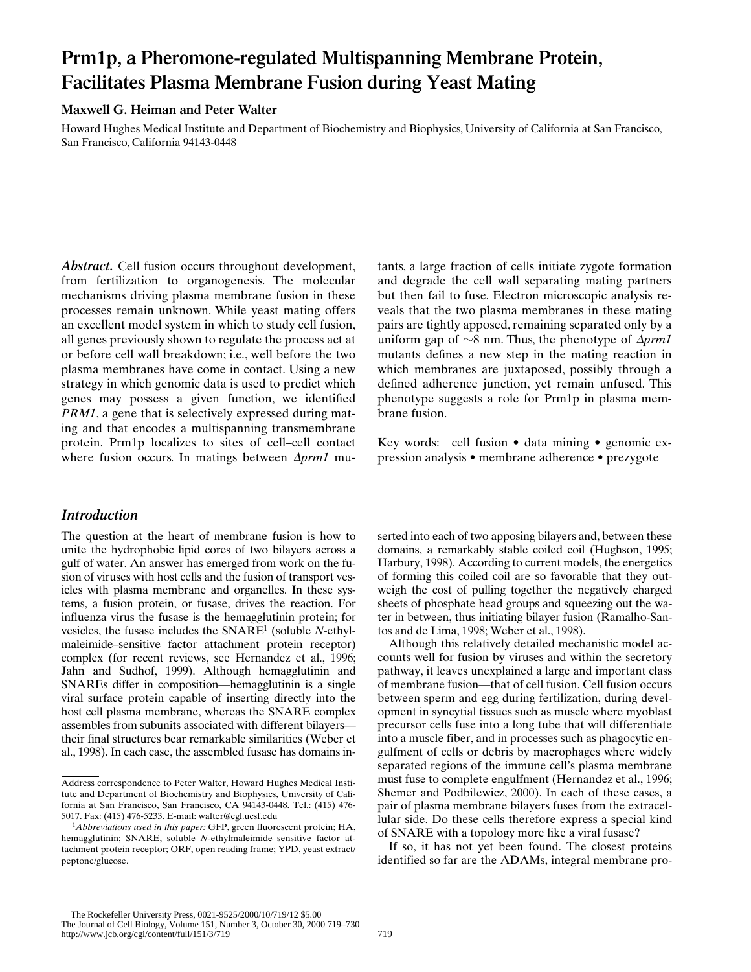# **Prm1p, a Pheromone-regulated Multispanning Membrane Protein, Facilitates Plasma Membrane Fusion during Yeast Mating**

## **Maxwell G. Heiman and Peter Walter**

Howard Hughes Medical Institute and Department of Biochemistry and Biophysics, University of California at San Francisco, San Francisco, California 94143-0448

*Abstract.* Cell fusion occurs throughout development, from fertilization to organogenesis. The molecular mechanisms driving plasma membrane fusion in these processes remain unknown. While yeast mating offers an excellent model system in which to study cell fusion, all genes previously shown to regulate the process act at or before cell wall breakdown; i.e., well before the two plasma membranes have come in contact. Using a new strategy in which genomic data is used to predict which genes may possess a given function, we identified *PRM1*, a gene that is selectively expressed during mating and that encodes a multispanning transmembrane protein. Prm1p localizes to sites of cell–cell contact where fusion occurs. In matings between  $\Delta prm1$  mu-

tants, a large fraction of cells initiate zygote formation and degrade the cell wall separating mating partners but then fail to fuse. Electron microscopic analysis reveals that the two plasma membranes in these mating pairs are tightly apposed, remaining separated only by a uniform gap of  $\sim 8$  nm. Thus, the phenotype of  $\Delta prm1$ mutants defines a new step in the mating reaction in which membranes are juxtaposed, possibly through a defined adherence junction, yet remain unfused. This phenotype suggests a role for Prm1p in plasma membrane fusion.

Key words: cell fusion • data mining • genomic expression analysis • membrane adherence • prezygote

## *Introduction*

The question at the heart of membrane fusion is how to unite the hydrophobic lipid cores of two bilayers across a gulf of water. An answer has emerged from work on the fusion of viruses with host cells and the fusion of transport vesicles with plasma membrane and organelles. In these systems, a fusion protein, or fusase, drives the reaction. For influenza virus the fusase is the hemagglutinin protein; for vesicles, the fusase includes the SNARE1 (soluble *N*-ethylmaleimide–sensitive factor attachment protein receptor) complex (for recent reviews, see Hernandez et al., 1996; Jahn and Sudhof, 1999). Although hemagglutinin and SNAREs differ in composition—hemagglutinin is a single viral surface protein capable of inserting directly into the host cell plasma membrane, whereas the SNARE complex assembles from subunits associated with different bilayers their final structures bear remarkable similarities (Weber et al., 1998). In each case, the assembled fusase has domains inserted into each of two apposing bilayers and, between these domains, a remarkably stable coiled coil (Hughson, 1995; Harbury, 1998). According to current models, the energetics of forming this coiled coil are so favorable that they outweigh the cost of pulling together the negatively charged sheets of phosphate head groups and squeezing out the water in between, thus initiating bilayer fusion (Ramalho-Santos and de Lima, 1998; Weber et al., 1998).

Although this relatively detailed mechanistic model accounts well for fusion by viruses and within the secretory pathway, it leaves unexplained a large and important class of membrane fusion—that of cell fusion. Cell fusion occurs between sperm and egg during fertilization, during development in syncytial tissues such as muscle where myoblast precursor cells fuse into a long tube that will differentiate into a muscle fiber, and in processes such as phagocytic engulfment of cells or debris by macrophages where widely separated regions of the immune cell's plasma membrane must fuse to complete engulfment (Hernandez et al., 1996; Shemer and Podbilewicz, 2000). In each of these cases, a pair of plasma membrane bilayers fuses from the extracellular side. Do these cells therefore express a special kind of SNARE with a topology more like a viral fusase?

If so, it has not yet been found. The closest proteins identified so far are the ADAMs, integral membrane pro-

 The Rockefeller University Press, 0021-9525/2000/10/719/12 \$5.00 The Journal of Cell Biology, Volume 151, Number 3, October 30, 2000 719–730 http://www.jcb.org/cgi/content/full/151/3/719 719

Address correspondence to Peter Walter, Howard Hughes Medical Institute and Department of Biochemistry and Biophysics, University of California at San Francisco, San Francisco, CA 94143-0448. Tel.: (415) 476- 5017. Fax: (415) 476-5233. E-mail: walter@cgl.ucsf.edu

<sup>1</sup> *Abbreviations used in this paper:* GFP, green fluorescent protein; HA, hemagglutinin; SNARE, soluble *N*-ethylmaleimide–sensitive factor attachment protein receptor; ORF, open reading frame; YPD, yeast extract/ peptone/glucose.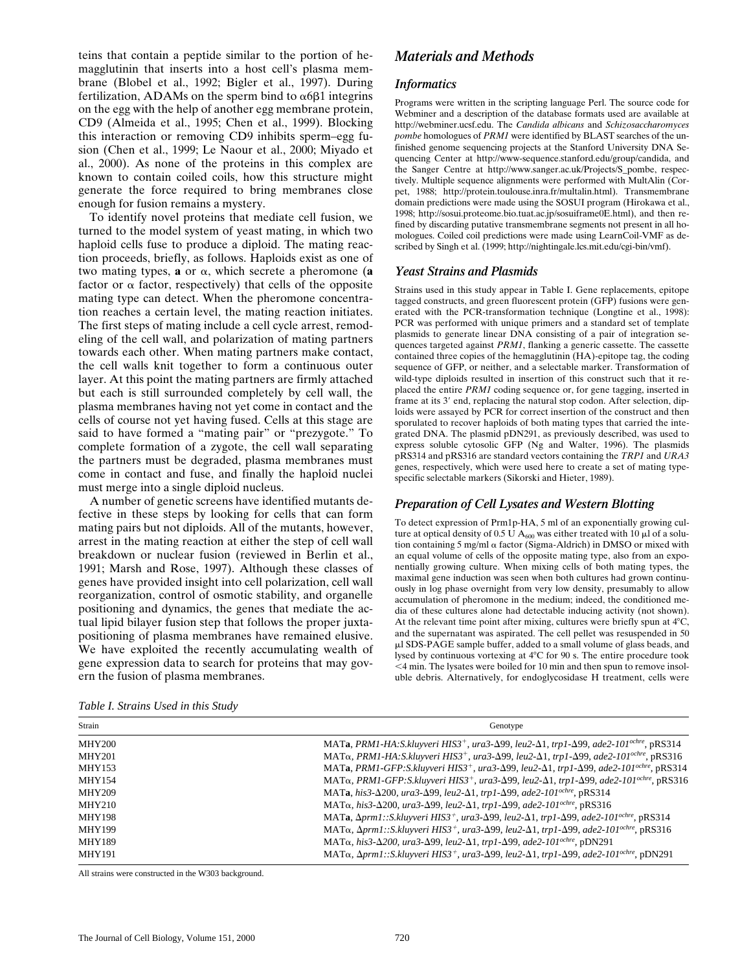teins that contain a peptide similar to the portion of hemagglutinin that inserts into a host cell's plasma membrane (Blobel et al., 1992; Bigler et al., 1997). During fertilization, ADAMs on the sperm bind to  $\alpha$ 6 $\beta$ 1 integrins on the egg with the help of another egg membrane protein, CD9 (Almeida et al., 1995; Chen et al., 1999). Blocking this interaction or removing CD9 inhibits sperm–egg fusion (Chen et al., 1999; Le Naour et al., 2000; Miyado et al., 2000). As none of the proteins in this complex are known to contain coiled coils, how this structure might generate the force required to bring membranes close enough for fusion remains a mystery.

To identify novel proteins that mediate cell fusion, we turned to the model system of yeast mating, in which two haploid cells fuse to produce a diploid. The mating reaction proceeds, briefly, as follows. Haploids exist as one of two mating types, **a** or a, which secrete a pheromone (**a** factor or  $\alpha$  factor, respectively) that cells of the opposite mating type can detect. When the pheromone concentration reaches a certain level, the mating reaction initiates. The first steps of mating include a cell cycle arrest, remodeling of the cell wall, and polarization of mating partners towards each other. When mating partners make contact, the cell walls knit together to form a continuous outer layer. At this point the mating partners are firmly attached but each is still surrounded completely by cell wall, the plasma membranes having not yet come in contact and the cells of course not yet having fused. Cells at this stage are said to have formed a "mating pair" or "prezygote." To complete formation of a zygote, the cell wall separating the partners must be degraded, plasma membranes must come in contact and fuse, and finally the haploid nuclei must merge into a single diploid nucleus.

A number of genetic screens have identified mutants defective in these steps by looking for cells that can form mating pairs but not diploids. All of the mutants, however, arrest in the mating reaction at either the step of cell wall breakdown or nuclear fusion (reviewed in Berlin et al., 1991; Marsh and Rose, 1997). Although these classes of genes have provided insight into cell polarization, cell wall reorganization, control of osmotic stability, and organelle positioning and dynamics, the genes that mediate the actual lipid bilayer fusion step that follows the proper juxtapositioning of plasma membranes have remained elusive. We have exploited the recently accumulating wealth of gene expression data to search for proteins that may govern the fusion of plasma membranes.

## *Materials and Methods*

#### *Informatics*

Programs were written in the scripting language Perl. The source code for Webminer and a description of the database formats used are available at http://webminer.ucsf.edu. The *Candida albicans* and *Schizosaccharomyces pombe* homologues of *PRM1* were identified by BLAST searches of the unfinished genome sequencing projects at the Stanford University DNA Sequencing Center at http://www-sequence.stanford.edu/group/candida, and the Sanger Centre at http://www.sanger.ac.uk/Projects/S\_pombe, respectively. Multiple sequence alignments were performed with MultAlin (Corpet, 1988; http://protein.toulouse.inra.fr/multalin.html). Transmembrane domain predictions were made using the SOSUI program (Hirokawa et al., 1998; http://sosui.proteome.bio.tuat.ac.jp/sosuiframe0E.html), and then refined by discarding putative transmembrane segments not present in all homologues. Coiled coil predictions were made using LearnCoil-VMF as described by Singh et al. (1999; http://nightingale.lcs.mit.edu/cgi-bin/vmf).

### *Yeast Strains and Plasmids*

Strains used in this study appear in Table I. Gene replacements, epitope tagged constructs, and green fluorescent protein (GFP) fusions were generated with the PCR-transformation technique (Longtine et al., 1998): PCR was performed with unique primers and a standard set of template plasmids to generate linear DNA consisting of a pair of integration sequences targeted against *PRM1*, flanking a generic cassette. The cassette contained three copies of the hemagglutinin (HA)-epitope tag, the coding sequence of GFP, or neither, and a selectable marker. Transformation of wild-type diploids resulted in insertion of this construct such that it replaced the entire *PRM1* coding sequence or, for gene tagging, inserted in frame at its 3' end, replacing the natural stop codon. After selection, diploids were assayed by PCR for correct insertion of the construct and then sporulated to recover haploids of both mating types that carried the integrated DNA. The plasmid pDN291, as previously described, was used to express soluble cytosolic GFP (Ng and Walter, 1996). The plasmids pRS314 and pRS316 are standard vectors containing the *TRP1* and *URA3* genes, respectively, which were used here to create a set of mating typespecific selectable markers (Sikorski and Hieter, 1989).

### *Preparation of Cell Lysates and Western Blotting*

To detect expression of Prm1p-HA, 5 ml of an exponentially growing culture at optical density of 0.5 U  $A_{600}$  was either treated with 10  $\mu$ l of a solution containing 5 mg/ml  $\alpha$  factor (Sigma-Aldrich) in DMSO or mixed with an equal volume of cells of the opposite mating type, also from an exponentially growing culture. When mixing cells of both mating types, the maximal gene induction was seen when both cultures had grown continuously in log phase overnight from very low density, presumably to allow accumulation of pheromone in the medium; indeed, the conditioned media of these cultures alone had detectable inducing activity (not shown). At the relevant time point after mixing, cultures were briefly spun at  $4^{\circ}C$ , and the supernatant was aspirated. The cell pellet was resuspended in 50 ml SDS-PAGE sample buffer, added to a small volume of glass beads, and lysed by continuous vortexing at 4°C for 90 s. The entire procedure took  $<$ 4 min. The lysates were boiled for 10 min and then spun to remove insoluble debris. Alternatively, for endoglycosidase H treatment, cells were

| Strain        | Genotype                                                                                                                                                        |  |  |
|---------------|-----------------------------------------------------------------------------------------------------------------------------------------------------------------|--|--|
| <b>MHY200</b> | MATa, PRM1-HA: S.kluyveri HIS3 <sup>+</sup> , ura3- $\Delta$ 99, leu2- $\Delta$ 1, trp1- $\Delta$ 99, ade2-101 <sup>ochre</sup> , pRS314                        |  |  |
| MHY201        | MATα, PRM1-HA:S.kluyveri HIS3 <sup>+</sup> , ura3-Δ99, leu2-Δ1, trp1-Δ99, ade2-101 <sup>ochre</sup> , pRS316                                                    |  |  |
| MHY153        | MATa, PRM1-GFP:S.kluyveri HIS3 <sup>+</sup> , ura3- $\Delta$ 99, leu2- $\Delta$ 1, trp1- $\Delta$ 99, ade2-101 <sup>ochre</sup> , pRS314                        |  |  |
| <b>MHY154</b> | MAT $\alpha$ , PRM1-GFP: S.kluyveri HIS3 <sup>+</sup> , ura3- $\Delta$ 99, leu2- $\Delta$ 1, trp1- $\Delta$ 99, ade2-101 <sup>ochre</sup> , pRS316              |  |  |
| MHY209        | MATa, his 3- $\Delta$ 200, ura 3- $\Delta$ 99, leu 2- $\Delta$ 1, trp 1- $\Delta$ 99, ade 2-101 <sup>ochre</sup> , pRS 314                                      |  |  |
| <b>MHY210</b> | MAT $\alpha$ , his 3- $\Delta$ 200, ura 3- $\Delta$ 99, leu 2- $\Delta$ 1, trp 1- $\Delta$ 99, ade 2-101 <sup>ochre</sup> , pRS 316                             |  |  |
| <b>MHY198</b> | MATa, $\Delta \text{prm1::S}.$ kluyveri HIS3 <sup>+</sup> , ura3- $\Delta$ 99, leu2- $\Delta$ 1, trp1- $\Delta$ 99, ade2-101 <sup>ochre</sup> , pRS314          |  |  |
| <b>MHY199</b> | MAT $\alpha$ , $\Delta \text{prm1::S.}$ kluyveri HIS3 <sup>+</sup> , ura3- $\Delta$ 99, leu2- $\Delta$ 1, trp1- $\Delta$ 99, ade2-101 <sup>ochre</sup> , pRS316 |  |  |
| MHY189        | MAT <sub><math>\alpha</math></sub> , his 3- $\Delta$ 200, ura 3- $\Delta$ 99, leu 2- $\Delta$ 1, trp 1- $\Delta$ 99, ade 2-101 <sup>ochre</sup> , pDN291        |  |  |
| MHY191        | MAT $\alpha$ , $\Delta prml::S. kluyveri HIS3^{+}$ , $ura3-\Delta 99$ , $leu2-\Delta 1$ , trp1- $\Delta 99$ , $ade2-101^{ochre}$ , pDN291                       |  |  |

*Table I. Strains Used in this Study*

All strains were constructed in the W303 background.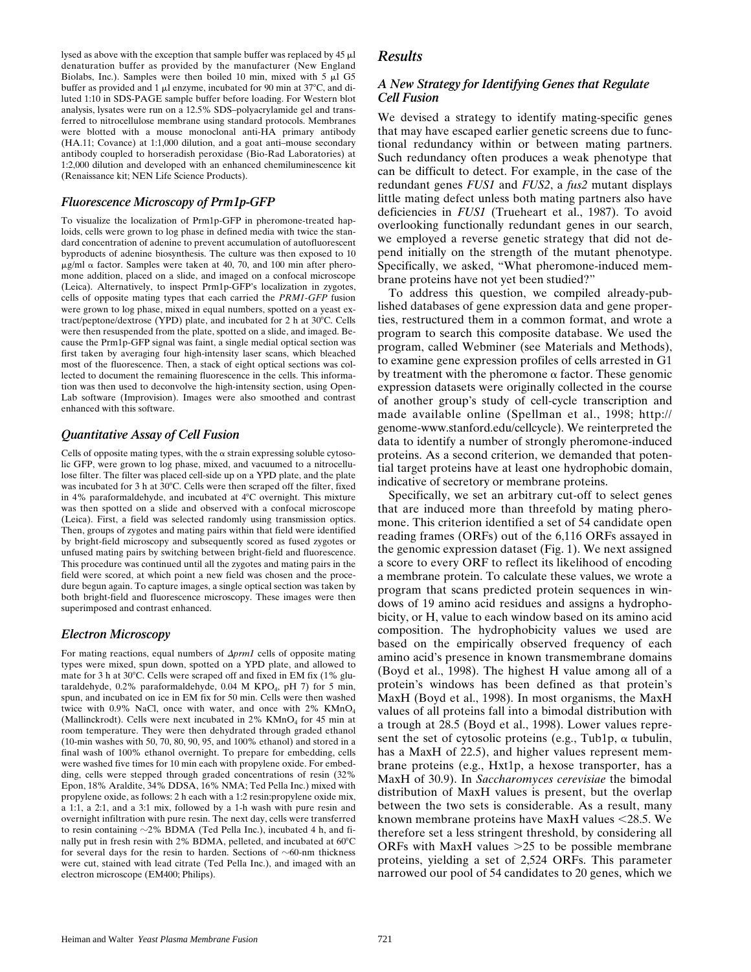lysed as above with the exception that sample buffer was replaced by  $45 \mu l$ denaturation buffer as provided by the manufacturer (New England Biolabs, Inc.). Samples were then boiled 10 min, mixed with 5  $\mu$ l G5 buffer as provided and 1  $\mu$ l enzyme, incubated for 90 min at 37°C, and diluted 1:10 in SDS-PAGE sample buffer before loading. For Western blot analysis, lysates were run on a 12.5% SDS–polyacrylamide gel and transferred to nitrocellulose membrane using standard protocols. Membranes were blotted with a mouse monoclonal anti-HA primary antibody (HA.11; Covance) at 1:1,000 dilution, and a goat anti–mouse secondary antibody coupled to horseradish peroxidase (Bio-Rad Laboratories) at 1:2,000 dilution and developed with an enhanced chemiluminescence kit (Renaissance kit; NEN Life Science Products).

## *Fluorescence Microscopy of Prm1p-GFP*

To visualize the localization of Prm1p-GFP in pheromone-treated haploids, cells were grown to log phase in defined media with twice the standard concentration of adenine to prevent accumulation of autofluorescent byproducts of adenine biosynthesis. The culture was then exposed to 10  $\mu$ g/ml  $\alpha$  factor. Samples were taken at 40, 70, and 100 min after pheromone addition, placed on a slide, and imaged on a confocal microscope (Leica). Alternatively, to inspect Prm1p-GFP's localization in zygotes, cells of opposite mating types that each carried the *PRM1-GFP* fusion were grown to log phase, mixed in equal numbers, spotted on a yeast extract/peptone/dextrose (YPD) plate, and incubated for  $2 h$  at  $30^{\circ}$ C. Cells were then resuspended from the plate, spotted on a slide, and imaged. Because the Prm1p-GFP signal was faint, a single medial optical section was first taken by averaging four high-intensity laser scans, which bleached most of the fluorescence. Then, a stack of eight optical sections was collected to document the remaining fluorescence in the cells. This information was then used to deconvolve the high-intensity section, using Open-Lab software (Improvision). Images were also smoothed and contrast enhanced with this software.

## *Quantitative Assay of Cell Fusion*

Cells of opposite mating types, with the  $\alpha$  strain expressing soluble cytosolic GFP, were grown to log phase, mixed, and vacuumed to a nitrocellulose filter. The filter was placed cell-side up on a YPD plate, and the plate was incubated for 3 h at 30°C. Cells were then scraped off the filter, fixed in 4% paraformaldehyde, and incubated at  $4^{\circ}$ C overnight. This mixture was then spotted on a slide and observed with a confocal microscope (Leica). First, a field was selected randomly using transmission optics. Then, groups of zygotes and mating pairs within that field were identified by bright-field microscopy and subsequently scored as fused zygotes or unfused mating pairs by switching between bright-field and fluorescence. This procedure was continued until all the zygotes and mating pairs in the field were scored, at which point a new field was chosen and the procedure begun again. To capture images, a single optical section was taken by both bright-field and fluorescence microscopy. These images were then superimposed and contrast enhanced.

### *Electron Microscopy*

For mating reactions, equal numbers of  $\Delta p r m l$  cells of opposite mating types were mixed, spun down, spotted on a YPD plate, and allowed to mate for 3 h at 30°C. Cells were scraped off and fixed in EM fix (1% glutaraldehyde,  $0.2\%$  paraformaldehyde,  $0.04$  M KPO<sub>4</sub>, pH 7) for 5 min, spun, and incubated on ice in EM fix for 50 min. Cells were then washed twice with  $0.9\%$  NaCl, once with water, and once with  $2\%$  KMnO<sub>4</sub> (Mallinckrodt). Cells were next incubated in  $2\%$  KMnO<sub>4</sub> for 45 min at room temperature. They were then dehydrated through graded ethanol (10-min washes with 50, 70, 80, 90, 95, and 100% ethanol) and stored in a final wash of 100% ethanol overnight. To prepare for embedding, cells were washed five times for 10 min each with propylene oxide. For embedding, cells were stepped through graded concentrations of resin (32% Epon, 18% Araldite, 34% DDSA, 16% NMA; Ted Pella Inc.) mixed with propylene oxide, as follows: 2 h each with a 1:2 resin:propylene oxide mix, a 1:1, a 2:1, and a 3:1 mix, followed by a 1-h wash with pure resin and overnight infiltration with pure resin. The next day, cells were transferred to resin containing  $\sim$ 2% BDMA (Ted Pella Inc.), incubated 4 h, and finally put in fresh resin with 2% BDMA, pelleted, and incubated at 60°C for several days for the resin to harden. Sections of  $\sim 60$ -nm thickness were cut, stained with lead citrate (Ted Pella Inc.), and imaged with an electron microscope (EM400; Philips).

## *Results*

## *A New Strategy for Identifying Genes that Regulate Cell Fusion*

We devised a strategy to identify mating-specific genes that may have escaped earlier genetic screens due to functional redundancy within or between mating partners. Such redundancy often produces a weak phenotype that can be difficult to detect. For example, in the case of the redundant genes *FUS1* and *FUS2*, a *fus2* mutant displays little mating defect unless both mating partners also have deficiencies in *FUS1* (Trueheart et al., 1987). To avoid overlooking functionally redundant genes in our search, we employed a reverse genetic strategy that did not depend initially on the strength of the mutant phenotype. Specifically, we asked, "What pheromone-induced membrane proteins have not yet been studied?"

To address this question, we compiled already-published databases of gene expression data and gene properties, restructured them in a common format, and wrote a program to search this composite database. We used the program, called Webminer (see Materials and Methods), to examine gene expression profiles of cells arrested in G1 by treatment with the pheromone  $\alpha$  factor. These genomic expression datasets were originally collected in the course of another group's study of cell-cycle transcription and made available online (Spellman et al., 1998; http:// genome-www.stanford.edu/cellcycle). We reinterpreted the data to identify a number of strongly pheromone-induced proteins. As a second criterion, we demanded that potential target proteins have at least one hydrophobic domain, indicative of secretory or membrane proteins.

Specifically, we set an arbitrary cut-off to select genes that are induced more than threefold by mating pheromone. This criterion identified a set of 54 candidate open reading frames (ORFs) out of the 6,116 ORFs assayed in the genomic expression dataset (Fig. 1). We next assigned a score to every ORF to reflect its likelihood of encoding a membrane protein. To calculate these values, we wrote a program that scans predicted protein sequences in windows of 19 amino acid residues and assigns a hydrophobicity, or H, value to each window based on its amino acid composition. The hydrophobicity values we used are based on the empirically observed frequency of each amino acid's presence in known transmembrane domains (Boyd et al., 1998). The highest H value among all of a protein's windows has been defined as that protein's MaxH (Boyd et al., 1998). In most organisms, the MaxH values of all proteins fall into a bimodal distribution with a trough at 28.5 (Boyd et al., 1998). Lower values represent the set of cytosolic proteins (e.g., Tub1p,  $\alpha$  tubulin, has a MaxH of 22.5), and higher values represent membrane proteins (e.g., Hxt1p, a hexose transporter, has a MaxH of 30.9). In *Saccharomyces cerevisiae* the bimodal distribution of MaxH values is present, but the overlap between the two sets is considerable. As a result, many known membrane proteins have MaxH values  $\leq$ 28.5. We therefore set a less stringent threshold, by considering all ORFs with MaxH values  $>25$  to be possible membrane proteins, yielding a set of 2,524 ORFs. This parameter narrowed our pool of 54 candidates to 20 genes, which we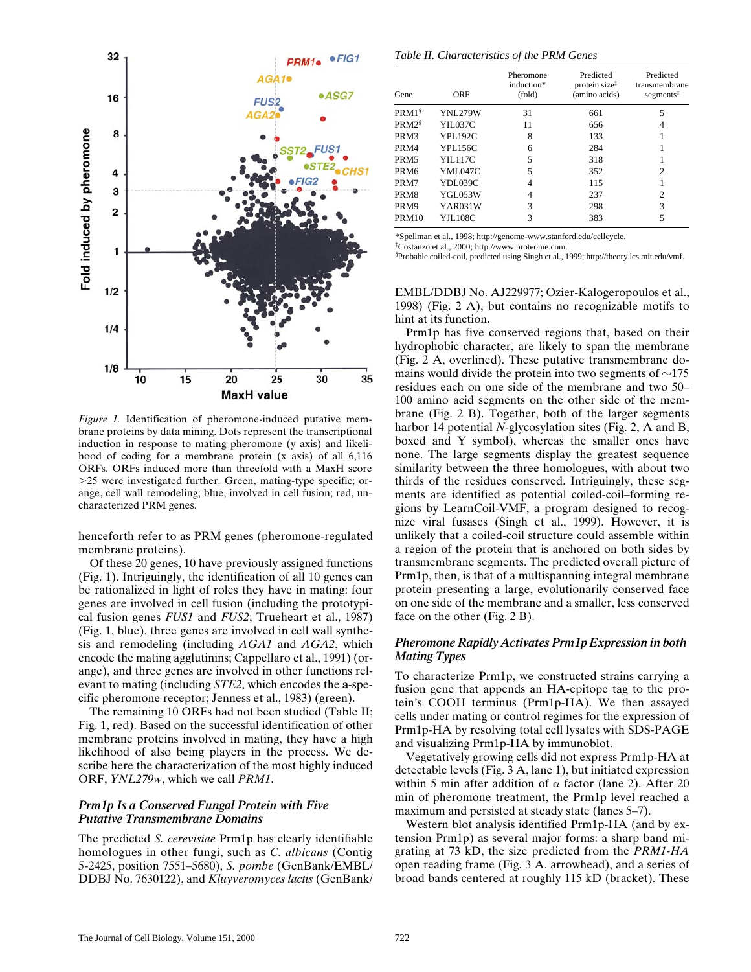

*Figure 1.* Identification of pheromone-induced putative membrane proteins by data mining. Dots represent the transcriptional induction in response to mating pheromone (y axis) and likelihood of coding for a membrane protein (x axis) of all 6,116 ORFs. ORFs induced more than threefold with a MaxH score .25 were investigated further. Green, mating-type specific; orange, cell wall remodeling; blue, involved in cell fusion; red, uncharacterized PRM genes.

henceforth refer to as PRM genes (pheromone-regulated membrane proteins).

Of these 20 genes, 10 have previously assigned functions (Fig. 1). Intriguingly, the identification of all 10 genes can be rationalized in light of roles they have in mating: four genes are involved in cell fusion (including the prototypical fusion genes *FUS1* and *FUS2*; Trueheart et al., 1987) (Fig. 1, blue), three genes are involved in cell wall synthesis and remodeling (including *AGA1* and *AGA2*, which encode the mating agglutinins; Cappellaro et al., 1991) (orange), and three genes are involved in other functions relevant to mating (including *STE2*, which encodes the **a**-specific pheromone receptor; Jenness et al., 1983) (green).

The remaining 10 ORFs had not been studied (Table II; Fig. 1, red). Based on the successful identification of other membrane proteins involved in mating, they have a high likelihood of also being players in the process. We describe here the characterization of the most highly induced ORF, *YNL279w*, which we call *PRM1*.

#### *Prm1p Is a Conserved Fungal Protein with Five Putative Transmembrane Domains*

The predicted *S. cerevisiae* Prm1p has clearly identifiable homologues in other fungi, such as *C. albicans* (Contig 5-2425, position 7551–5680), *S. pombe* (GenBank/EMBL/ DDBJ No. 7630122), and *Kluyveromyces lactis* (GenBank/

*Table II. Characteristics of the PRM Genes*

| Gene                | ORF            | Pheromone<br>induction*<br>(fold) | Predicted<br>protein size <sup>†</sup><br>(amino acids) | Predicted<br>transmembrane<br>segments $\frac{1}{2}$ |
|---------------------|----------------|-----------------------------------|---------------------------------------------------------|------------------------------------------------------|
| $PRM1$ <sup>§</sup> | <b>YNL279W</b> | 31                                | 661                                                     | 5                                                    |
| PRM2 <sup>§</sup>   | YIL037C        | 11                                | 656                                                     | 4                                                    |
| PRM3                | YPL192C        | 8                                 | 133                                                     |                                                      |
| PRM4                | YPL156C        | 6                                 | 284                                                     |                                                      |
| PRM <sub>5</sub>    | YIL117C        | 5                                 | 318                                                     |                                                      |
| PRM <sub>6</sub>    | YML047C        | 5                                 | 352                                                     | $\overline{c}$                                       |
| PRM7                | YDL039C        | 4                                 | 115                                                     |                                                      |
| PRM <sub>8</sub>    | YGL053W        | 4                                 | 237                                                     | $\overline{c}$                                       |
| PRM9                | YAR031W        | 3                                 | 298                                                     | 3                                                    |
| <b>PRM10</b>        | Y.IL108C       | 3                                 | 383                                                     | 5                                                    |

\*Spellman et al., 1998; http://genome-www.stanford.edu/cellcycle.

‡ Costanzo et al., 2000; http://www.proteome.com.

§ Probable coiled-coil, predicted using Singh et al., 1999; http://theory.lcs.mit.edu/vmf.

EMBL/DDBJ No. AJ229977; Ozier-Kalogeropoulos et al., 1998) (Fig. 2 A), but contains no recognizable motifs to hint at its function.

Prm1p has five conserved regions that, based on their hydrophobic character, are likely to span the membrane (Fig. 2 A, overlined). These putative transmembrane domains would divide the protein into two segments of  $\sim$ 175 residues each on one side of the membrane and two 50– 100 amino acid segments on the other side of the membrane (Fig. 2 B). Together, both of the larger segments harbor 14 potential *N*-glycosylation sites (Fig. 2, A and B, boxed and Y symbol), whereas the smaller ones have none. The large segments display the greatest sequence similarity between the three homologues, with about two thirds of the residues conserved. Intriguingly, these segments are identified as potential coiled-coil–forming regions by LearnCoil-VMF, a program designed to recognize viral fusases (Singh et al., 1999). However, it is unlikely that a coiled-coil structure could assemble within a region of the protein that is anchored on both sides by transmembrane segments. The predicted overall picture of Prm1p, then, is that of a multispanning integral membrane protein presenting a large, evolutionarily conserved face on one side of the membrane and a smaller, less conserved face on the other (Fig. 2 B).

#### *Pheromone Rapidly Activates Prm1p Expression in both Mating Types*

To characterize Prm1p, we constructed strains carrying a fusion gene that appends an HA-epitope tag to the protein's COOH terminus (Prm1p-HA). We then assayed cells under mating or control regimes for the expression of Prm1p-HA by resolving total cell lysates with SDS-PAGE and visualizing Prm1p-HA by immunoblot.

Vegetatively growing cells did not express Prm1p-HA at detectable levels (Fig. 3 A, lane 1), but initiated expression within 5 min after addition of  $\alpha$  factor (lane 2). After 20 min of pheromone treatment, the Prm1p level reached a maximum and persisted at steady state (lanes 5–7).

Western blot analysis identified Prm1p-HA (and by extension Prm1p) as several major forms: a sharp band migrating at 73 kD, the size predicted from the *PRM1-HA* open reading frame (Fig. 3 A, arrowhead), and a series of broad bands centered at roughly 115 kD (bracket). These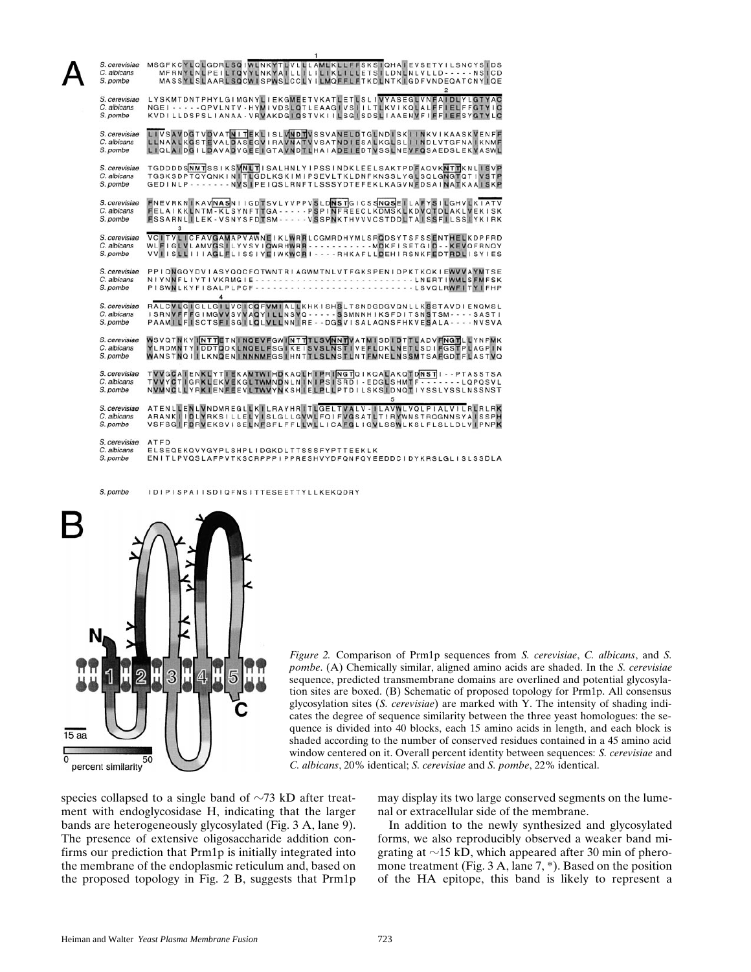| S. cerevisiae<br>C. albicans<br>S. pombe | MSGFKCYLQLGDRLSQIWLNKYTLVLLLAMLKLLFFSKSIQHAIEVSETYILSNCYSIDS<br>MFRNYLNLPEILTQVYLNKYAILLILILIKLILLETSILDNLNLVLLD-----NSICD<br>MASSYLSLAARLSQCWISPWSLCCLYILMQFFLFTKDLNTKIGDFVNDEQATCNYIQE<br>$\overline{2}$           |
|------------------------------------------|----------------------------------------------------------------------------------------------------------------------------------------------------------------------------------------------------------------------|
| S. cerevisiae                            | LYSKMTDNTPHYLGIMGNYLIEKGMEETVKATLETLSLIVYASEGLVNFAIDLYLGTYAC                                                                                                                                                         |
| C. albicans                              | NGEI - - - - - OPVLNTV - HYMI VDSLOTLEAAGIVS I I LTLKV I KOLALFFIELFFGTY IC                                                                                                                                          |
| S. pombe                                 | KVDILLDSPSLIANAA - VRVAKDGIQSTVKIILSGISDSLIAAENVFIFFIEFSYGTYLC                                                                                                                                                       |
| S. cerevisiae                            | LIVSAVDGTVDVATNITEKLISLVNDTVSSVANELDTGLNDISKIINKVIKAASKVENFF                                                                                                                                                         |
| C. albicans                              | LLNAALKGSTEVALDASEGVIRAVNATVVSATNDIESALKGLSLIINDLVTGFNAIKNMF                                                                                                                                                         |
| S. pombe                                 | LIQLAIDGILDAVADVGEEIGTAVNDTLHAIADEIEDTVSSLNEVFQSAEDSLEKVASWL                                                                                                                                                         |
| S. cerevisiae                            | TGDDDDSNMTSSIKSVNLTISALHNLYIPSSINDKLEELSAKTPDFAQVKNTTKNLISVP                                                                                                                                                         |
| C. albicans                              | TGSKSDPTQYQNKINITLGDLKSKIMIPSEVLTKLDNFKNSSLYGLSQLGNGTQTIVSTP                                                                                                                                                         |
| S. pombe                                 | GEDINLP - - - - - - NVSIPEIQSLRNFTLSSSYDTEFEKLKAGVNFDSAINATKAAISKP                                                                                                                                                   |
| S. cerevisiae                            | FNEVRKNIKAVNASNIIGDTSVLYVPPVSLDNSTGICSSNQSEILAFYSILGHVLKIATV                                                                                                                                                         |
| C. albicans                              | FELAIKKLNTM-KLSYNFTTGA----- PSPINFREECLKDMSKLKDVQTDLAKLVEKISK                                                                                                                                                        |
| S. pombe                                 | FSSARNLILLEK-VSNYSFDTSM----- VSSPNKTHVVVCSTDDLTAISSFILSSIYKIRK                                                                                                                                                       |
| S. cerevisiae<br>C. albicans<br>S. pombe | 3<br>VCITVLICFAVGAMAPVAWNEIKLWRRLCGMRDHYMLSRODSYTSFSSENTHELKDPFRD<br>WLFIGLVLAMVGSILYVSYIQWRHWRR-----------MDKFISETGID--KEVQFRNQY<br>VVIISLLIIIAGLFLISSIYEIWKWCRI - - - - RHKAFLLDEHIRSNKFEDTRDLISYIES               |
| S. cerevisiae                            | PPIONGQYDVIASYQQCFQTWNTRIAGWMTNLVTFGKSPENIDPKTKQKIEWVVAYMTSE                                                                                                                                                         |
| C. albicans                              | NIYNNELIYTIVKRMGIE---------------------------LNERTIWMLSFMFSK                                                                                                                                                         |
| S. pombe                                 | PISWNLKYFISALPLPCF-------------------------LSVQLRWFITYIFHP                                                                                                                                                           |
| S. cerevisiae<br>C. albicans<br>S. pombe | 4<br>RALCVLGIGLLGILVCICOFVMIALLKHKISHSLTSNDGDGVQNLLKSSTAVDIENQMSL<br>ISRNVFFFGIMGVVSVVAQYILLNSVQ - - - - - SSMNNHIKSFDITSNSTSM - - - - SASTI<br>PAAMILFISCTSFISGILQLVLLNNIRE - - DGSVISALAQNSFHKVESALA - - - - NVSVA |
| S. cerevisiae                            | WSVOTNKYINTTETNINGEVFGWINTTTLSVNNTVATMISDIDTTLADVFNGTLLYNPMK                                                                                                                                                         |
| C. albicans                              | YLRDMNTYIDDTODKLNOELFSGIKEISVSLNSTIVEFLDKLNETLSDIFGSTPLAGPIN                                                                                                                                                         |
| S. pombe                                 | WANSTNQIILKNQENINNNMFGSIHNTTLSLNSTLNTFMNELNSSMTSAFGDTFLASTVQ                                                                                                                                                         |
| S. cerevisiae                            | TVVGCAIENKLYTIEKAMTWIHDKAOLHIPRINGTQIKQALAKOTDNSTI - - PTASSTSA                                                                                                                                                      |
| C. albicans                              | TVVYCTIGRKLEKVEKGLTWMNDNLNINIPSISRDI-EDGLSHMTFLQPQSVL                                                                                                                                                                |
| S. pombe                                 | NVMNCLLYRKIENFEEVLTWVYNKSHIELPLLPTDILSKSIDNQTIYSSLYSSLNSSNST                                                                                                                                                         |
| S. cerevisiae<br>C. albicans<br>S. pombe | 5<br>ATENLLENLVNDMREGLLKTLRAYHRITLGELTVALV - ILAVWLVQLPIALVILRLRK<br>ARANKIIDLYRKSILLELYISLGLLGVWLFQIFVGSATLTIRYWNSTRQGNNSYAISSPH<br>VSFSGIFDRVEKSVISELNFSFLFFLLWLLICAFGLIGVLSSWLKSLFLSLLDLVIPNPK                    |
| S. cerevisiae                            | ATFD                                                                                                                                                                                                                 |
| C. albicans                              | ELSEQEKQVYGYPLSHPLIDGKDLTTSSSFYPTTEEKLK                                                                                                                                                                              |
| S. pombe                                 | ENITLPVQSLAFPVTKSCRPPPIPPRESHVYDFONFQYEEDDCIDYKRSLGLISLSSDLA                                                                                                                                                         |

S. pombe IDIPISPAIISDIQFNSITTESEETTYLLKEKQDRY



*Figure 2.* Comparison of Prm1p sequences from *S. cerevisiae*, *C. albicans*, and *S. pombe*. (A) Chemically similar, aligned amino acids are shaded. In the *S. cerevisiae* sequence, predicted transmembrane domains are overlined and potential glycosylation sites are boxed. (B) Schematic of proposed topology for Prm1p. All consensus glycosylation sites (*S. cerevisiae*) are marked with Y. The intensity of shading indicates the degree of sequence similarity between the three yeast homologues: the sequence is divided into 40 blocks, each 15 amino acids in length, and each block is shaded according to the number of conserved residues contained in a 45 amino acid window centered on it. Overall percent identity between sequences: *S. cerevisiae* and *C. albicans*, 20% identical; *S. cerevisiae* and *S. pombe*, 22% identical.

species collapsed to a single band of  $\sim$ 73 kD after treatment with endoglycosidase H, indicating that the larger bands are heterogeneously glycosylated (Fig. 3 A, lane 9). The presence of extensive oligosaccharide addition confirms our prediction that Prm1p is initially integrated into the membrane of the endoplasmic reticulum and, based on the proposed topology in Fig. 2 B, suggests that Prm1p may display its two large conserved segments on the lumenal or extracellular side of the membrane.

In addition to the newly synthesized and glycosylated forms, we also reproducibly observed a weaker band migrating at  $\sim$ 15 kD, which appeared after 30 min of pheromone treatment (Fig. 3 A, lane 7, \*). Based on the position of the HA epitope, this band is likely to represent a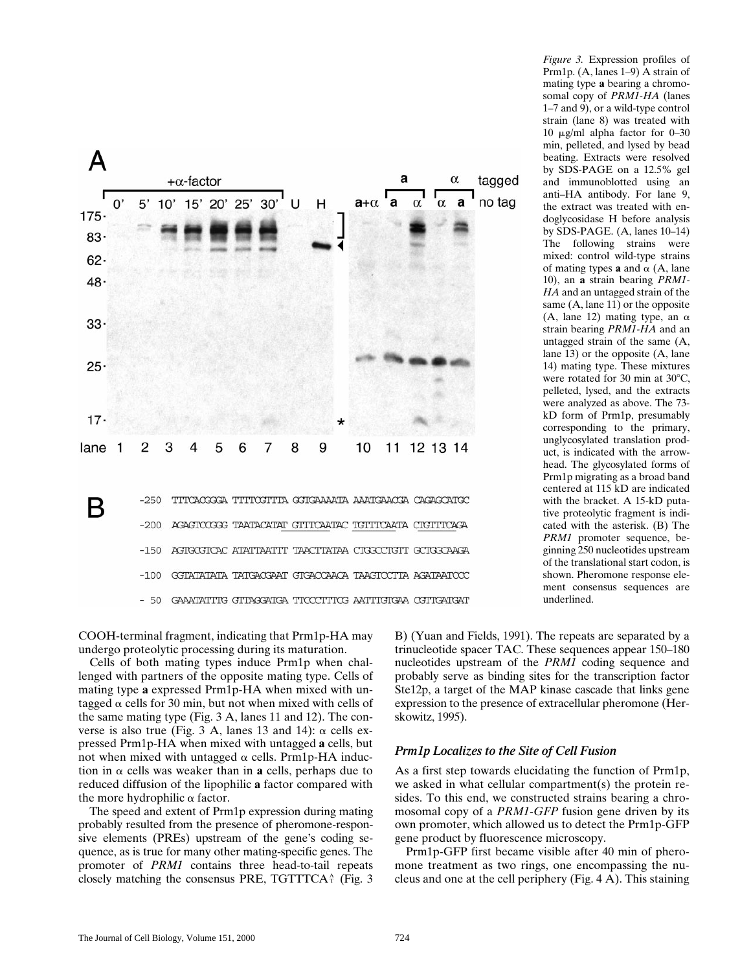

COOH-terminal fragment, indicating that Prm1p-HA may undergo proteolytic processing during its maturation.

Cells of both mating types induce Prm1p when challenged with partners of the opposite mating type. Cells of mating type **a** expressed Prm1p-HA when mixed with untagged  $\alpha$  cells for 30 min, but not when mixed with cells of the same mating type (Fig. 3 A, lanes 11 and 12). The converse is also true (Fig. 3 A, lanes 13 and 14):  $\alpha$  cells expressed Prm1p-HA when mixed with untagged **a** cells, but not when mixed with untagged  $\alpha$  cells. Prm1p-HA induction in  $\alpha$  cells was weaker than in **a** cells, perhaps due to reduced diffusion of the lipophilic **a** factor compared with the more hydrophilic  $\alpha$  factor.

The speed and extent of Prm1p expression during mating probably resulted from the presence of pheromone-responsive elements (PREs) upstream of the gene's coding sequence, as is true for many other mating-specific genes. The promoter of *PRM1* contains three head-to-tail repeats closely matching the consensus PRE, TGTTTCA $A$ <sup>A</sup> (Fig. 3

*Figure 3.* Expression profiles of Prm1p. (A, lanes 1–9) A strain of mating type **a** bearing a chromosomal copy of *PRM1-HA* (lanes 1–7 and 9), or a wild-type control strain (lane 8) was treated with 10  $\mu$ g/ml alpha factor for 0–30 min, pelleted, and lysed by bead beating. Extracts were resolved by SDS-PAGE on a 12.5% gel and immunoblotted using an anti–HA antibody. For lane 9, the extract was treated with endoglycosidase H before analysis by SDS-PAGE. (A, lanes 10–14) The following strains were mixed: control wild-type strains of mating types  $\bf{a}$  and  $\alpha$  (A, lane 10), an **a** strain bearing *PRM1- HA* and an untagged strain of the same (A, lane 11) or the opposite (A, lane 12) mating type, an  $\alpha$ strain bearing *PRM1-HA* and an untagged strain of the same (A, lane 13) or the opposite (A, lane 14) mating type. These mixtures were rotated for 30 min at  $30^{\circ}$ C, pelleted, lysed, and the extracts were analyzed as above. The 73 kD form of Prm1p, presumably corresponding to the primary, unglycosylated translation product, is indicated with the arrowhead. The glycosylated forms of Prm1p migrating as a broad band centered at 115 kD are indicated with the bracket. A 15-kD putative proteolytic fragment is indicated with the asterisk. (B) The *PRM1* promoter sequence, beginning 250 nucleotides upstream of the translational start codon, is shown. Pheromone response element consensus sequences are underlined.

B) (Yuan and Fields, 1991). The repeats are separated by a trinucleotide spacer TAC. These sequences appear 150–180 nucleotides upstream of the *PRM1* coding sequence and probably serve as binding sites for the transcription factor Ste12p, a target of the MAP kinase cascade that links gene expression to the presence of extracellular pheromone (Herskowitz, 1995).

#### *Prm1p Localizes to the Site of Cell Fusion*

As a first step towards elucidating the function of Prm1p, we asked in what cellular compartment(s) the protein resides. To this end, we constructed strains bearing a chromosomal copy of a *PRM1-GFP* fusion gene driven by its own promoter, which allowed us to detect the Prm1p-GFP gene product by fluorescence microscopy.

Prm1p-GFP first became visible after 40 min of pheromone treatment as two rings, one encompassing the nucleus and one at the cell periphery (Fig. 4 A). This staining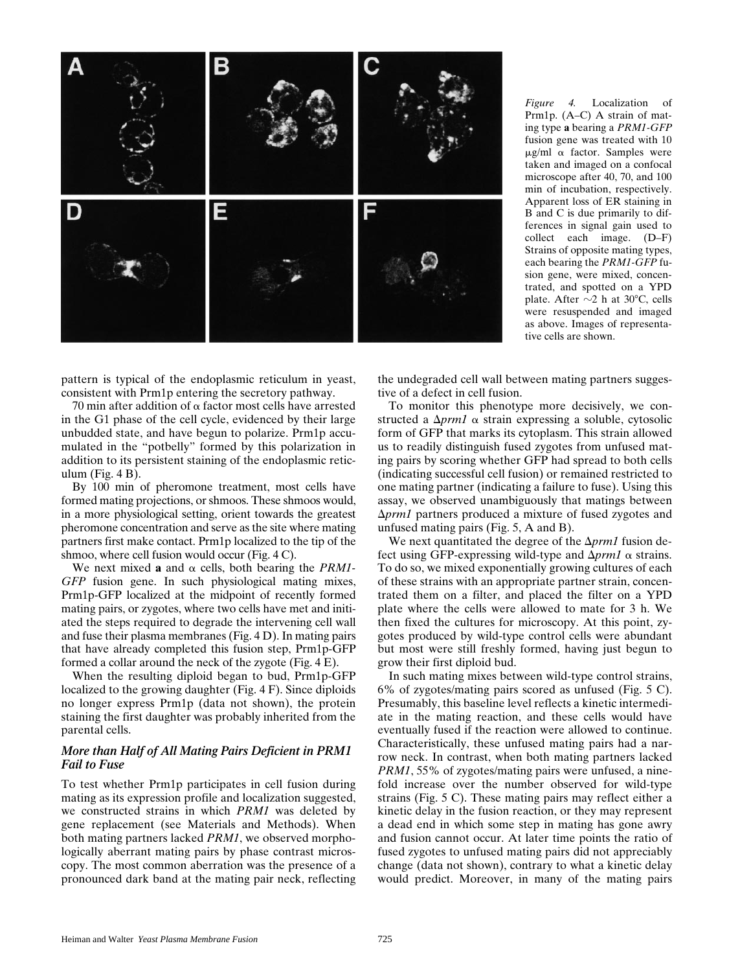

*Figure 4.* Localization of Prm1p. (A–C) A strain of mating type **a** bearing a *PRM1-GFP* fusion gene was treated with 10  $\mu$ g/ml  $\alpha$  factor. Samples were taken and imaged on a confocal microscope after 40, 70, and 100 min of incubation, respectively. Apparent loss of ER staining in B and C is due primarily to differences in signal gain used to collect each image. (D–F) Strains of opposite mating types, each bearing the *PRM1-GFP* fusion gene, were mixed, concentrated, and spotted on a YPD plate. After  $\sim$ 2 h at 30°C, cells were resuspended and imaged as above. Images of representative cells are shown.

pattern is typical of the endoplasmic reticulum in yeast, consistent with Prm1p entering the secretory pathway.

70 min after addition of  $\alpha$  factor most cells have arrested in the G1 phase of the cell cycle, evidenced by their large unbudded state, and have begun to polarize. Prm1p accumulated in the "potbelly" formed by this polarization in addition to its persistent staining of the endoplasmic reticulum (Fig.  $4 B$ ).

By 100 min of pheromone treatment, most cells have formed mating projections, or shmoos. These shmoos would, in a more physiological setting, orient towards the greatest pheromone concentration and serve as the site where mating partners first make contact. Prm1p localized to the tip of the shmoo, where cell fusion would occur (Fig. 4 C).

We next mixed **a** and  $\alpha$  cells, both bearing the *PRM1*-*GFP* fusion gene. In such physiological mating mixes, Prm1p-GFP localized at the midpoint of recently formed mating pairs, or zygotes, where two cells have met and initiated the steps required to degrade the intervening cell wall and fuse their plasma membranes (Fig. 4 D). In mating pairs that have already completed this fusion step, Prm1p-GFP formed a collar around the neck of the zygote (Fig. 4 E).

When the resulting diploid began to bud, Prm1p-GFP localized to the growing daughter (Fig. 4 F). Since diploids no longer express Prm1p (data not shown), the protein staining the first daughter was probably inherited from the parental cells.

### *More than Half of All Mating Pairs Deficient in PRM1 Fail to Fuse*

To test whether Prm1p participates in cell fusion during mating as its expression profile and localization suggested, we constructed strains in which *PRM1* was deleted by gene replacement (see Materials and Methods). When both mating partners lacked *PRM1*, we observed morphologically aberrant mating pairs by phase contrast microscopy. The most common aberration was the presence of a pronounced dark band at the mating pair neck, reflecting the undegraded cell wall between mating partners suggestive of a defect in cell fusion.

To monitor this phenotype more decisively, we constructed a  $\Delta p r m l$   $\alpha$  strain expressing a soluble, cytosolic form of GFP that marks its cytoplasm. This strain allowed us to readily distinguish fused zygotes from unfused mating pairs by scoring whether GFP had spread to both cells (indicating successful cell fusion) or remained restricted to one mating partner (indicating a failure to fuse). Using this assay, we observed unambiguously that matings between  $\Delta$ *prm1* partners produced a mixture of fused zygotes and unfused mating pairs (Fig. 5, A and B).

We next quantitated the degree of the  $\Delta p r m l$  fusion defect using GFP-expressing wild-type and  $\Delta p r m l$   $\alpha$  strains. To do so, we mixed exponentially growing cultures of each of these strains with an appropriate partner strain, concentrated them on a filter, and placed the filter on a YPD plate where the cells were allowed to mate for 3 h. We then fixed the cultures for microscopy. At this point, zygotes produced by wild-type control cells were abundant but most were still freshly formed, having just begun to grow their first diploid bud.

In such mating mixes between wild-type control strains, 6% of zygotes/mating pairs scored as unfused (Fig. 5 C). Presumably, this baseline level reflects a kinetic intermediate in the mating reaction, and these cells would have eventually fused if the reaction were allowed to continue. Characteristically, these unfused mating pairs had a narrow neck. In contrast, when both mating partners lacked *PRM1*, 55% of zygotes/mating pairs were unfused, a ninefold increase over the number observed for wild-type strains (Fig. 5 C). These mating pairs may reflect either a kinetic delay in the fusion reaction, or they may represent a dead end in which some step in mating has gone awry and fusion cannot occur. At later time points the ratio of fused zygotes to unfused mating pairs did not appreciably change (data not shown), contrary to what a kinetic delay would predict. Moreover, in many of the mating pairs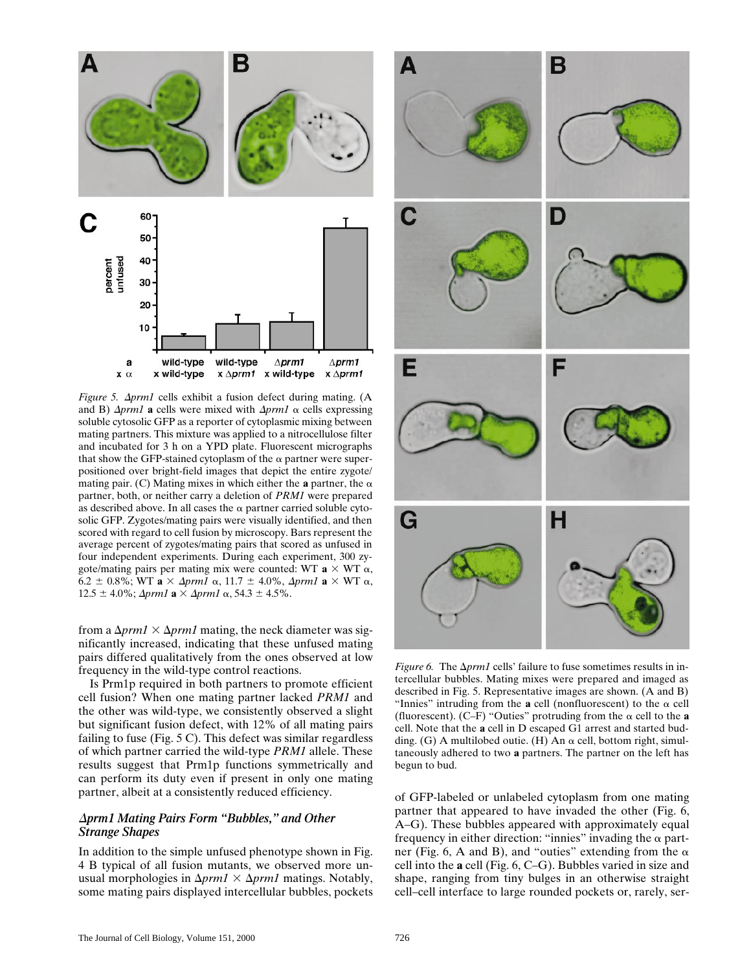

*Figure 5.*  $\Delta p r m1$  *cells exhibit a fusion defect during mating. (A* and B)  $\Delta p r m1$  **a** cells were mixed with  $\Delta p r m1$   $\alpha$  cells expressing soluble cytosolic GFP as a reporter of cytoplasmic mixing between mating partners. This mixture was applied to a nitrocellulose filter and incubated for 3 h on a YPD plate. Fluorescent micrographs that show the GFP-stained cytoplasm of the  $\alpha$  partner were superpositioned over bright-field images that depict the entire zygote/ mating pair. (C) Mating mixes in which either the **a** partner, the  $\alpha$ partner, both, or neither carry a deletion of *PRM1* were prepared as described above. In all cases the  $\alpha$  partner carried soluble cytosolic GFP. Zygotes/mating pairs were visually identified, and then scored with regard to cell fusion by microscopy. Bars represent the average percent of zygotes/mating pairs that scored as unfused in four independent experiments. During each experiment, 300 zygote/mating pairs per mating mix were counted: WT  $\mathbf{a} \times \mathbf{W}$   $\alpha$ ,  $6.2 \pm 0.8\%$ ; WT **a**  $\times$  *Aprm1*  $\alpha$ , 11.7  $\pm$  4.0%, *Aprm1* **a**  $\times$  WT  $\alpha$ , 12.5 ± 4.0%; Δ*prm1* **a**  $\times$  Δ*prm1* α, 54.3 ± 4.5%.

from a  $\Delta$ *prm1*  $\times$   $\Delta$ *prm1* mating, the neck diameter was significantly increased, indicating that these unfused mating pairs differed qualitatively from the ones observed at low frequency in the wild-type control reactions.

Is Prm1p required in both partners to promote efficient cell fusion? When one mating partner lacked *PRM1* and the other was wild-type, we consistently observed a slight but significant fusion defect, with 12% of all mating pairs failing to fuse (Fig. 5 C). This defect was similar regardless of which partner carried the wild-type *PRM1* allele. These results suggest that Prm1p functions symmetrically and can perform its duty even if present in only one mating partner, albeit at a consistently reduced efficiency.

### D*prm1 Mating Pairs Form "Bubbles," and Other Strange Shapes*

In addition to the simple unfused phenotype shown in Fig. 4 B typical of all fusion mutants, we observed more unusual morphologies in  $\Delta \text{prm1} \times \Delta \text{prm1}$  matings. Notably, some mating pairs displayed intercellular bubbles, pockets



*Figure 6.* The  $\Delta$ *prm1* cells' failure to fuse sometimes results in intercellular bubbles. Mating mixes were prepared and imaged as described in Fig. 5. Representative images are shown. (A and B) "Innies" intruding from the **a** cell (nonfluorescent) to the  $\alpha$  cell (fluorescent).  $(C-F)$  "Outies" protruding from the  $\alpha$  cell to the **a** cell. Note that the **a** cell in D escaped G1 arrest and started budding.  $(G)$  A multilobed outie.  $(H)$  An  $\alpha$  cell, bottom right, simultaneously adhered to two **a** partners. The partner on the left has begun to bud.

of GFP-labeled or unlabeled cytoplasm from one mating partner that appeared to have invaded the other (Fig. 6, A–G). These bubbles appeared with approximately equal frequency in either direction: "innies" invading the  $\alpha$  partner (Fig. 6, A and B), and "outies" extending from the  $\alpha$ cell into the **a** cell (Fig. 6, C–G). Bubbles varied in size and shape, ranging from tiny bulges in an otherwise straight cell–cell interface to large rounded pockets or, rarely, ser-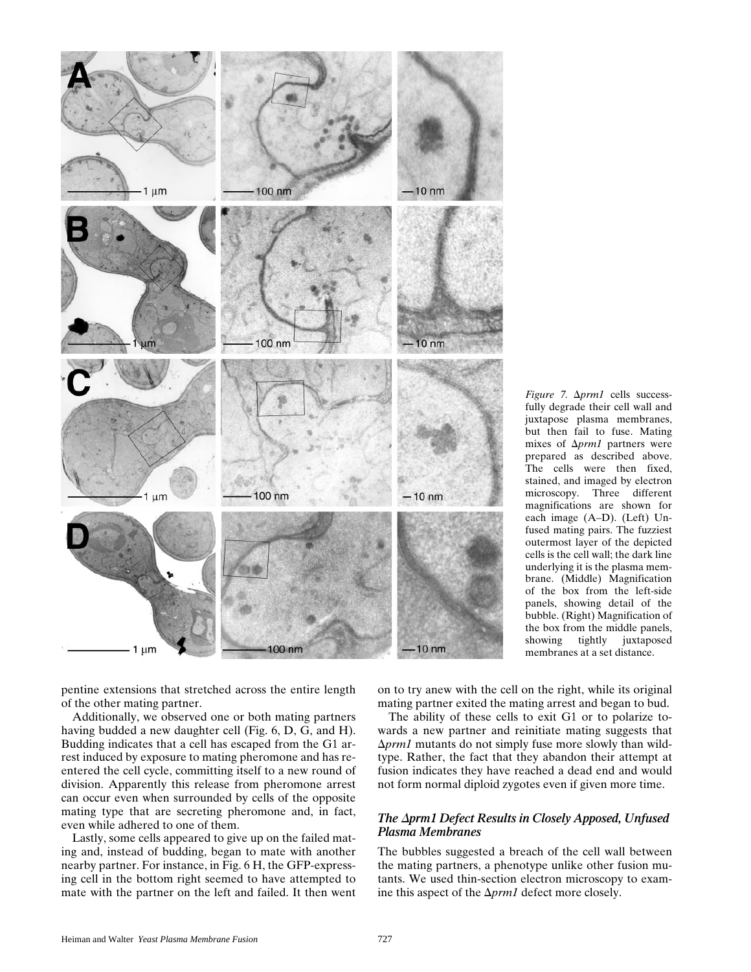

*Figure 7. Δprm1* cells successfully degrade their cell wall and juxtapose plasma membranes, but then fail to fuse. Mating mixes of  $\Delta$ *prm1* partners were prepared as described above. The cells were then fixed, stained, and imaged by electron microscopy. Three different magnifications are shown for each image (A–D). (Left) Unfused mating pairs. The fuzziest outermost layer of the depicted cells is the cell wall; the dark line underlying it is the plasma membrane. (Middle) Magnification of the box from the left-side panels, showing detail of the bubble. (Right) Magnification of the box from the middle panels, showing tightly juxtaposed membranes at a set distance.

pentine extensions that stretched across the entire length of the other mating partner.

Additionally, we observed one or both mating partners having budded a new daughter cell (Fig. 6, D, G, and H). Budding indicates that a cell has escaped from the G1 arrest induced by exposure to mating pheromone and has reentered the cell cycle, committing itself to a new round of division. Apparently this release from pheromone arrest can occur even when surrounded by cells of the opposite mating type that are secreting pheromone and, in fact, even while adhered to one of them.

Lastly, some cells appeared to give up on the failed mating and, instead of budding, began to mate with another nearby partner. For instance, in Fig. 6 H, the GFP-expressing cell in the bottom right seemed to have attempted to mate with the partner on the left and failed. It then went on to try anew with the cell on the right, while its original mating partner exited the mating arrest and began to bud.

The ability of these cells to exit G1 or to polarize towards a new partner and reinitiate mating suggests that  $\Delta$ *prm1* mutants do not simply fuse more slowly than wildtype. Rather, the fact that they abandon their attempt at fusion indicates they have reached a dead end and would not form normal diploid zygotes even if given more time.

## *The*  $\Delta$ *prm1 Defect Results in Closely Apposed, Unfused Plasma Membranes*

The bubbles suggested a breach of the cell wall between the mating partners, a phenotype unlike other fusion mutants. We used thin-section electron microscopy to examine this aspect of the  $\Delta$ *prm1* defect more closely.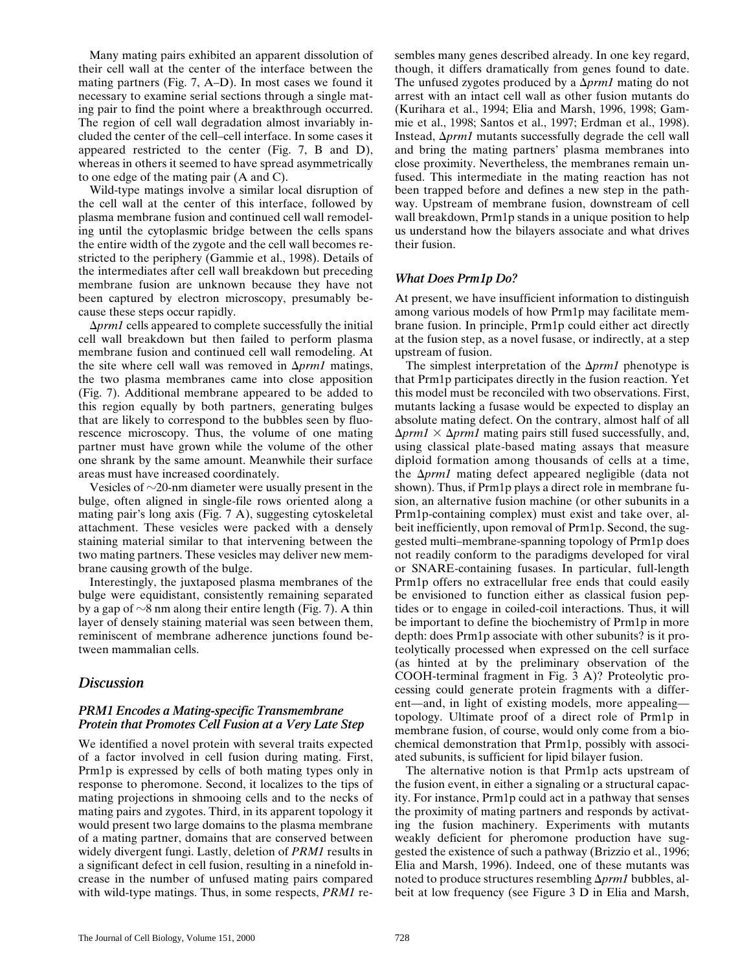Many mating pairs exhibited an apparent dissolution of their cell wall at the center of the interface between the mating partners (Fig. 7, A–D). In most cases we found it necessary to examine serial sections through a single mating pair to find the point where a breakthrough occurred. The region of cell wall degradation almost invariably included the center of the cell–cell interface. In some cases it appeared restricted to the center (Fig. 7, B and D), whereas in others it seemed to have spread asymmetrically to one edge of the mating pair (A and C).

Wild-type matings involve a similar local disruption of the cell wall at the center of this interface, followed by plasma membrane fusion and continued cell wall remodeling until the cytoplasmic bridge between the cells spans the entire width of the zygote and the cell wall becomes restricted to the periphery (Gammie et al., 1998). Details of the intermediates after cell wall breakdown but preceding membrane fusion are unknown because they have not been captured by electron microscopy, presumably because these steps occur rapidly.

 $\Delta$ *prm1* cells appeared to complete successfully the initial cell wall breakdown but then failed to perform plasma membrane fusion and continued cell wall remodeling. At the site where cell wall was removed in  $\Delta$ *prm1* matings, the two plasma membranes came into close apposition (Fig. 7). Additional membrane appeared to be added to this region equally by both partners, generating bulges that are likely to correspond to the bubbles seen by fluorescence microscopy. Thus, the volume of one mating partner must have grown while the volume of the other one shrank by the same amount. Meanwhile their surface areas must have increased coordinately.

Vesicles of  $\sim$ 20-nm diameter were usually present in the bulge, often aligned in single-file rows oriented along a mating pair's long axis (Fig. 7 A), suggesting cytoskeletal attachment. These vesicles were packed with a densely staining material similar to that intervening between the two mating partners. These vesicles may deliver new membrane causing growth of the bulge.

Interestingly, the juxtaposed plasma membranes of the bulge were equidistant, consistently remaining separated by a gap of  $\sim$ 8 nm along their entire length (Fig. 7). A thin layer of densely staining material was seen between them, reminiscent of membrane adherence junctions found between mammalian cells.

## *Discussion*

#### *PRM1 Encodes a Mating-specific Transmembrane Protein that Promotes Cell Fusion at a Very Late Step*

We identified a novel protein with several traits expected of a factor involved in cell fusion during mating. First, Prm1p is expressed by cells of both mating types only in response to pheromone. Second, it localizes to the tips of mating projections in shmooing cells and to the necks of mating pairs and zygotes. Third, in its apparent topology it would present two large domains to the plasma membrane of a mating partner, domains that are conserved between widely divergent fungi. Lastly, deletion of *PRM1* results in a significant defect in cell fusion, resulting in a ninefold increase in the number of unfused mating pairs compared with wild-type matings. Thus, in some respects, *PRM1* resembles many genes described already. In one key regard, though, it differs dramatically from genes found to date. The unfused zygotes produced by a  $\Delta p r m l$  mating do not arrest with an intact cell wall as other fusion mutants do (Kurihara et al., 1994; Elia and Marsh, 1996, 1998; Gammie et al., 1998; Santos et al., 1997; Erdman et al., 1998). Instead,  $\Delta$ *prm1* mutants successfully degrade the cell wall and bring the mating partners' plasma membranes into close proximity. Nevertheless, the membranes remain unfused. This intermediate in the mating reaction has not been trapped before and defines a new step in the pathway. Upstream of membrane fusion, downstream of cell wall breakdown, Prm1p stands in a unique position to help us understand how the bilayers associate and what drives their fusion.

#### *What Does Prm1p Do?*

At present, we have insufficient information to distinguish among various models of how Prm1p may facilitate membrane fusion. In principle, Prm1p could either act directly at the fusion step, as a novel fusase, or indirectly, at a step upstream of fusion.

The simplest interpretation of the  $\Delta$ *prm1* phenotype is that Prm1p participates directly in the fusion reaction. Yet this model must be reconciled with two observations. First, mutants lacking a fusase would be expected to display an absolute mating defect. On the contrary, almost half of all  $\Delta$ *prm1*  $\times$   $\Delta$ *prm1* mating pairs still fused successfully, and, using classical plate-based mating assays that measure diploid formation among thousands of cells at a time, the  $\Delta$ *prm1* mating defect appeared negligible (data not shown). Thus, if Prm1p plays a direct role in membrane fusion, an alternative fusion machine (or other subunits in a Prm1p-containing complex) must exist and take over, albeit inefficiently, upon removal of Prm1p. Second, the suggested multi–membrane-spanning topology of Prm1p does not readily conform to the paradigms developed for viral or SNARE-containing fusases. In particular, full-length Prm1p offers no extracellular free ends that could easily be envisioned to function either as classical fusion peptides or to engage in coiled-coil interactions. Thus, it will be important to define the biochemistry of Prm1p in more depth: does Prm1p associate with other subunits? is it proteolytically processed when expressed on the cell surface (as hinted at by the preliminary observation of the COOH-terminal fragment in Fig. 3 A)? Proteolytic processing could generate protein fragments with a different—and, in light of existing models, more appealing topology. Ultimate proof of a direct role of Prm1p in membrane fusion, of course, would only come from a biochemical demonstration that Prm1p, possibly with associated subunits, is sufficient for lipid bilayer fusion.

The alternative notion is that Prm1p acts upstream of the fusion event, in either a signaling or a structural capacity. For instance, Prm1p could act in a pathway that senses the proximity of mating partners and responds by activating the fusion machinery. Experiments with mutants weakly deficient for pheromone production have suggested the existence of such a pathway (Brizzio et al., 1996; Elia and Marsh, 1996). Indeed, one of these mutants was noted to produce structures resembling Δ*prm1* bubbles, albeit at low frequency (see Figure 3 D in Elia and Marsh,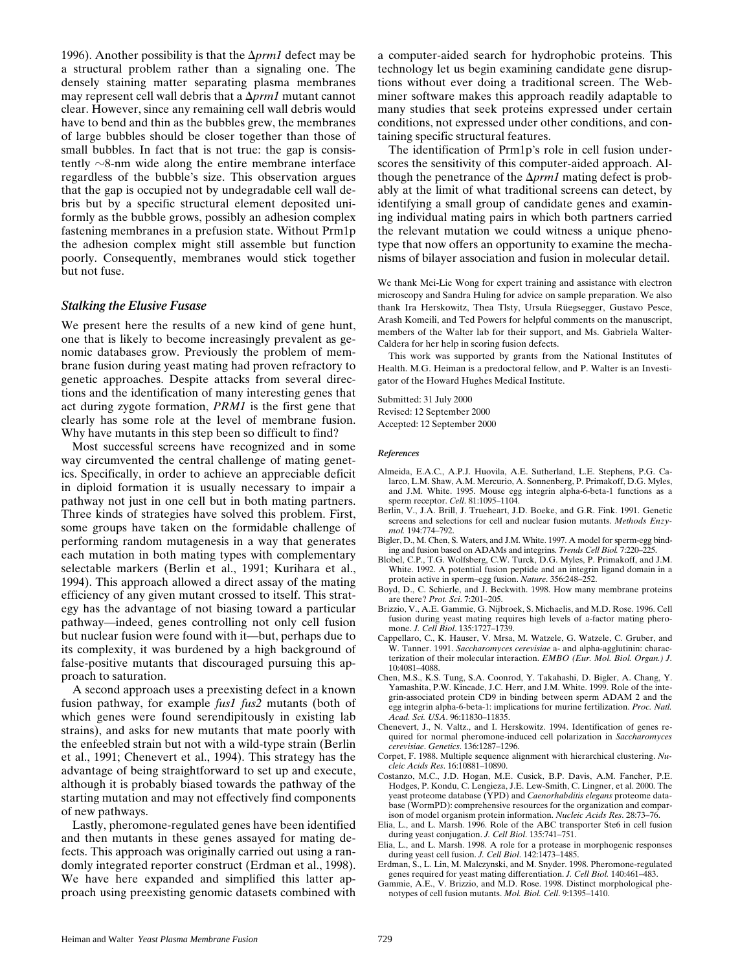1996). Another possibility is that the  $\Delta$ *prm1* defect may be a structural problem rather than a signaling one. The densely staining matter separating plasma membranes may represent cell wall debris that a  $\Delta$ *prm1* mutant cannot clear. However, since any remaining cell wall debris would have to bend and thin as the bubbles grew, the membranes of large bubbles should be closer together than those of small bubbles. In fact that is not true: the gap is consistently  $\sim$ 8-nm wide along the entire membrane interface regardless of the bubble's size. This observation argues that the gap is occupied not by undegradable cell wall debris but by a specific structural element deposited uniformly as the bubble grows, possibly an adhesion complex fastening membranes in a prefusion state. Without Prm1p the adhesion complex might still assemble but function poorly. Consequently, membranes would stick together but not fuse.

#### *Stalking the Elusive Fusase*

We present here the results of a new kind of gene hunt, one that is likely to become increasingly prevalent as genomic databases grow. Previously the problem of membrane fusion during yeast mating had proven refractory to genetic approaches. Despite attacks from several directions and the identification of many interesting genes that act during zygote formation, *PRM1* is the first gene that clearly has some role at the level of membrane fusion. Why have mutants in this step been so difficult to find?

Most successful screens have recognized and in some way circumvented the central challenge of mating genetics. Specifically, in order to achieve an appreciable deficit in diploid formation it is usually necessary to impair a pathway not just in one cell but in both mating partners. Three kinds of strategies have solved this problem. First, some groups have taken on the formidable challenge of performing random mutagenesis in a way that generates each mutation in both mating types with complementary selectable markers (Berlin et al., 1991; Kurihara et al., 1994). This approach allowed a direct assay of the mating efficiency of any given mutant crossed to itself. This strategy has the advantage of not biasing toward a particular pathway—indeed, genes controlling not only cell fusion but nuclear fusion were found with it—but, perhaps due to its complexity, it was burdened by a high background of false-positive mutants that discouraged pursuing this approach to saturation.

A second approach uses a preexisting defect in a known fusion pathway, for example *fus1 fus2* mutants (both of which genes were found serendipitously in existing lab strains), and asks for new mutants that mate poorly with the enfeebled strain but not with a wild-type strain (Berlin et al., 1991; Chenevert et al., 1994). This strategy has the advantage of being straightforward to set up and execute, although it is probably biased towards the pathway of the starting mutation and may not effectively find components of new pathways.

Lastly, pheromone-regulated genes have been identified and then mutants in these genes assayed for mating defects. This approach was originally carried out using a randomly integrated reporter construct (Erdman et al., 1998). We have here expanded and simplified this latter approach using preexisting genomic datasets combined with a computer-aided search for hydrophobic proteins. This technology let us begin examining candidate gene disruptions without ever doing a traditional screen. The Webminer software makes this approach readily adaptable to many studies that seek proteins expressed under certain conditions, not expressed under other conditions, and containing specific structural features.

The identification of Prm1p's role in cell fusion underscores the sensitivity of this computer-aided approach. Although the penetrance of the  $\Delta$ *prm1* mating defect is probably at the limit of what traditional screens can detect, by identifying a small group of candidate genes and examining individual mating pairs in which both partners carried the relevant mutation we could witness a unique phenotype that now offers an opportunity to examine the mechanisms of bilayer association and fusion in molecular detail.

We thank Mei-Lie Wong for expert training and assistance with electron microscopy and Sandra Huling for advice on sample preparation. We also thank Ira Herskowitz, Thea Tlsty, Ursula Rüegsegger, Gustavo Pesce, Arash Komeili, and Ted Powers for helpful comments on the manuscript, members of the Walter lab for their support, and Ms. Gabriela Walter-Caldera for her help in scoring fusion defects.

This work was supported by grants from the National Institutes of Health. M.G. Heiman is a predoctoral fellow, and P. Walter is an Investigator of the Howard Hughes Medical Institute.

Submitted: 31 July 2000

Revised: 12 September 2000

Accepted: 12 September 2000

#### *References*

- Almeida, E.A.C., A.P.J. Huovila, A.E. Sutherland, L.E. Stephens, P.G. Calarco, L.M. Shaw, A.M. Mercurio, A. Sonnenberg, P. Primakoff, D.G. Myles, and J.M. White. 1995. Mouse egg integrin alpha-6-beta-1 functions as a sperm receptor. *Cell*. 81:1095–1104.
- Berlin, V., J.A. Brill, J. Trueheart, J.D. Boeke, and G.R. Fink. 1991. Genetic screens and selections for cell and nuclear fusion mutants. *Methods Enzymol.* 194:774–792.
- Bigler, D., M. Chen, S. Waters, and J.M. White. 1997. A model for sperm-egg binding and fusion based on ADAMs and integrins. *Trends Cell Biol.* 7:220–225.
- Blobel, C.P., T.G. Wolfsberg, C.W. Turck, D.G. Myles, P. Primakoff, and J.M. White. 1992. A potential fusion peptide and an integrin ligand domain in a protein active in sperm–egg fusion. *Nature*. 356:248–252.
- Boyd, D., C. Schierle, and J. Beckwith. 1998. How many membrane proteins are there? *Prot. Sci*. 7:201–205.
- Brizzio, V., A.E. Gammie, G. Nijbroek, S. Michaelis, and M.D. Rose. 1996. Cell fusion during yeast mating requires high levels of a-factor mating pheromone. *J. Cell Biol*. 135:1727–1739.
- Cappellaro, C., K. Hauser, V. Mrsa, M. Watzele, G. Watzele, C. Gruber, and W. Tanner. 1991. *Saccharomyces cerevisiae* a- and alpha-agglutinin: characterization of their molecular interaction. *EMBO (Eur. Mol. Biol. Organ.) J*. 10:4081–4088.
- Chen, M.S., K.S. Tung, S.A. Coonrod, Y. Takahashi, D. Bigler, A. Chang, Y. Yamashita, P.W. Kincade, J.C. Herr, and J.M. White. 1999. Role of the integrin-associated protein CD9 in binding between sperm ADAM 2 and the egg integrin alpha-6-beta-1: implications for murine fertilization. *Proc. Natl. Acad. Sci. USA*. 96:11830–11835.
- Chenevert, J., N. Valtz., and I. Herskowitz. 1994. Identification of genes required for normal pheromone-induced cell polarization in *Saccharomyces cerevisiae*. *Genetics*. 136:1287–1296.
- Corpet, F. 1988. Multiple sequence alignment with hierarchical clustering. *Nucleic Acids Res*. 16:10881–10890.
- Costanzo, M.C., J.D. Hogan, M.E. Cusick, B.P. Davis, A.M. Fancher, P.E. Hodges, P. Kondu, C. Lengieza, J.E. Lew-Smith, C. Lingner, et al. 2000. The yeast proteome database (YPD) and *Caenorhabditis elegans* proteome database (WormPD): comprehensive resources for the organization and comparison of model organism protein information. *Nucleic Acids Res*. 28:73–76.
- Elia, L., and L. Marsh. 1996. Role of the ABC transporter Ste6 in cell fusion during yeast conjugation. *J. Cell Biol*. 135:741–751.
- Elia, L., and L. Marsh. 1998. A role for a protease in morphogenic responses during yeast cell fusion. *J. Cell Biol*. 142:1473–1485.
- Erdman, S., L. Lin, M. Malczynski, and M. Snyder. 1998. Pheromone-regulated genes required for yeast mating differentiation. *J. Cell Biol.* 140:461–483.
- Gammie, A.E., V. Brizzio, and M.D. Rose. 1998. Distinct morphological phenotypes of cell fusion mutants. *Mol. Biol. Cell*. 9:1395–1410.